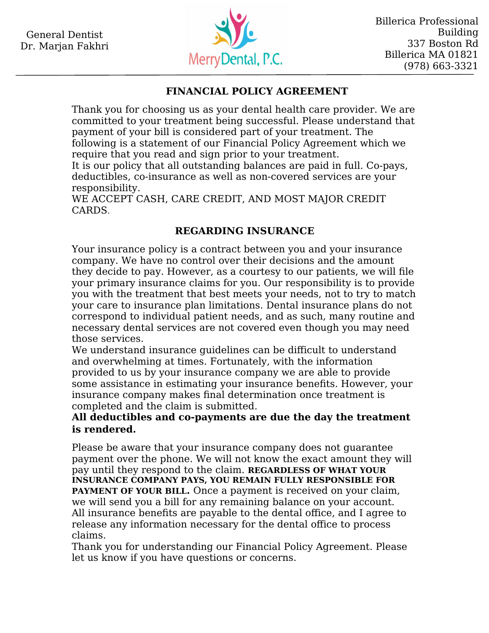

## **FINANCIAL POLICY AGREEMENT**

Thank you for choosing us as your dental health care provider. We are committed to your treatment being successful. Please understand that payment of your bill is considered part of your treatment. The following is a statement of our Financial Policy Agreement which we require that you read and sign prior to your treatment.

It is our policy that all outstanding balances are paid in full. Co-pays, deductibles, co-insurance as well as non-covered services are your responsibility.

WE ACCEPT CASH, CARE CREDIT, AND MOST MAJOR CREDIT CARDS.

## **REGARDING INSURANCE**

Your insurance policy is a contract between you and your insurance company. We have no control over their decisions and the amount they decide to pay. However, as a courtesy to our patients, we will file your primary insurance claims for you. Our responsibility is to provide you with the treatment that best meets your needs, not to try to match your care to insurance plan limitations. Dental insurance plans do not correspond to individual patient needs, and as such, many routine and necessary dental services are not covered even though you may need those services.

We understand insurance guidelines can be difficult to understand and overwhelming at times. Fortunately, with the information provided to us by your insurance company we are able to provide some assistance in estimating your insurance benefits. However, your insurance company makes final determination once treatment is completed and the claim is submitted.

## **All deductibles and co-payments are due the day the treatment is rendered.**

Please be aware that your insurance company does not guarantee payment over the phone. We will not know the exact amount they will pay until they respond to the claim. **REGARDLESS OF WHAT YOUR INSURANCE COMPANY PAYS, YOU REMAIN FULLY RESPONSIBLE FOR PAYMENT OF YOUR BILL.** Once a payment is received on your claim, we will send you a bill for any remaining balance on your account. All insurance benefits are payable to the dental office, and I agree to release any information necessary for the dental office to process claims.

Thank you for understanding our Financial Policy Agreement. Please let us know if you have questions or concerns.